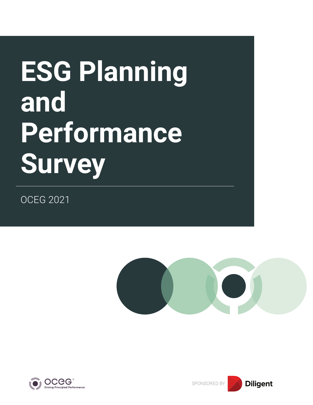# **ESG Planning and Performance Survey**

OCEG 2021







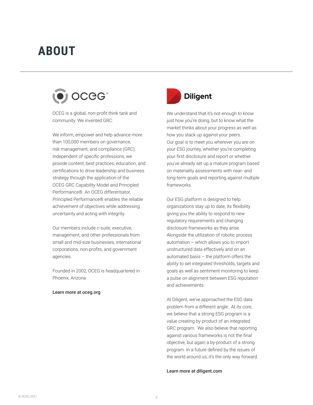# **ABOUT**



OCEG is a global, non-profit think tank and community. We invented GRC.

We inform, empower and help advance more than 100,000 members on governance, risk management, and compliance (GRC). Independent of specific professions, we provide content, best practices, education, and certifications to drive leadership and business strategy through the application of the OCEG GRC Capability Model and Principled Performance®. An OCEG differentiator, Principled Performance® enables the reliable achievement of objectives while addressing uncertainty and acting with integrity.

Our members include c-suite, executive, management, and other professionals from small and mid-size businesses, international corporations, non-profits, and government agencies.

Founded in 2002, OCEG is headquartered in Phoenix, Arizona.

#### Learn more at oceg.org



We understand that it's not enough to know just how you're doing, but to know what the market thinks about your progress as well as how you stack up against your peers. Our goal is to meet you wherever you are on your ESG journey, whether you're completing your first disclosure and report or whether you've already set up a mature program based on materiality assessments with near- and long-term goals and reporting against multiple frameworks.

Our ESG platform is designed to help organizations stay up to date, its flexibility giving you the ability to respond to new regulatory requirements and changing disclosure frameworks as they arise. Alongside the utilization of robotic process automation – which allows you to import unstructured data effectively and on an automated basis – the platform offers the ability to set integrated thresholds, targets and goals as well as sentiment monitoring to keep a pulse on alignment between ESG reputation and achievements.

At Diligent, we've approached the ESG data problem from a different angle. At its core, we believe that a strong ESG program is a value creating by-product of an integrated GRC program. We also believe that reporting against various frameworks is not the final objective, but again a by-product of a strong program. In a future defined by the issues of the world around us, it's the only way forward.

#### Learn more at diligent.com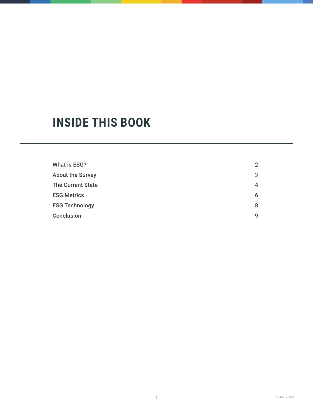# **INSIDE THIS BOOK**

| <b>What is ESG?</b>      |   |
|--------------------------|---|
| <b>About the Survey</b>  | 3 |
| <b>The Current State</b> | 4 |
| <b>ESG Metrics</b>       | 6 |
| <b>ESG Technology</b>    | 8 |
| Conclusion               |   |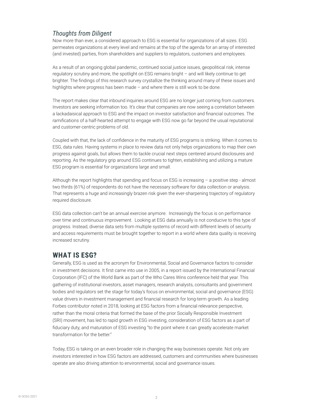## *Thoughts from Diligent*

Now more than ever, a considered approach to ESG is essential for organizations of all sizes. ESG permeates organizations at every level and remains at the top of the agenda for an array of interested (and invested) parties, from shareholders and suppliers to regulators, customers and employees.

As a result of an ongoing global pandemic, continued social justice issues, geopolitical risk, intense regulatory scrutiny and more, the spotlight on ESG remains bright – and will likely continue to get brighter. The findings of this research survey crystallize the thinking around many of these issues and highlights where progress has been made – and where there is still work to be done.

The report makes clear that inbound inquiries around ESG are no longer just coming from customers. Investors are seeking information too. It's clear that companies are now seeing a correlation between a lackadaisical approach to ESG and the impact on investor satisfaction and financial outcomes. The ramifications of a half-hearted attempt to engage with ESG now go far beyond the usual reputational and customer-centric problems of old.

Coupled with that, the lack of confidence in the maturity of ESG programs is striking. When it comes to ESG, data rules. Having systems in place to review data not only helps organizations to map their own progress against goals, but allows them to tackle crucial next steps centered around disclosures and reporting. As the regulatory grip around ESG continues to tighten, establishing and utilizing a mature ESG program is essential for organizations large and small.

Although the report highlights that spending and focus on ESG is increasing – a positive step - almost two thirds (61%) of respondents do not have the necessary software for data collection or analysis. That represents a huge and increasingly brazen risk given the ever-sharpening trajectory of regulatory required disclosure.

ESG data collection can't be an annual exercise anymore. Increasingly the focus is on performance over time and continuous improvement. Looking at ESG data annually is not conducive to this type of progress. Instead, diverse data sets from multiple systems of record with different levels of security and access requirements must be brought together to report in a world where data quality is receiving increased scrutiny.

# **WHAT IS ESG?**

Generally, ESG is used as the acronym for Environmental, Social and Governance factors to consider in investment decisions. It first came into use in 2005, in a report issued by the International Financial Corporation (IFC) of the World Bank as part of the Who Cares Wins conference held that year. This gathering of institutional investors, asset managers, research analysts, consultants and government bodies and regulators set the stage for today's focus on environmental, social and governance (ESG) value drivers in investment management and financial research for long-term growth. As a leading Forbes contributor noted in 2018, looking at ESG factors from a financial relevance perspective, rather than the moral criteria that formed the base of the prior Socially Responsible Investment (SRI) movement, has led to rapid growth in ESG investing, consideration of ESG factors as a part of fiduciary duty, and maturation of ESG investing "to the point where it can greatly accelerate market transformation for the better."

Today, ESG is taking on an even broader role in changing the way businesses operate. Not only are investors interested in how ESG factors are addressed, customers and communities where businesses operate are also driving attention to environmental, social and governance issues.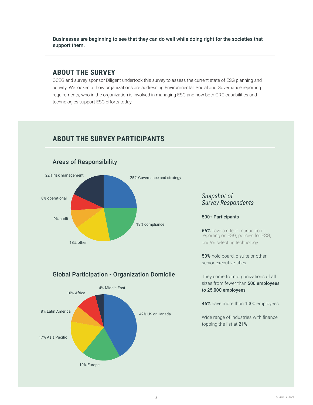Businesses are beginning to see that they can do well while doing right for the societies that support them.

# **ABOUT THE SURVEY**

OCEG and survey sponsor Diligent undertook this survey to assess the current state of ESG planning and activity. We looked at how organizations are addressing Environmental, Social and Governance reporting requirements, who in the organization is involved in managing ESG and how both GRC capabilities and technologies support ESG efforts today.

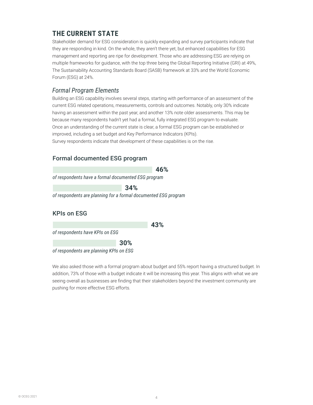# **THE CURRENT STATE**

Stakeholder demand for ESG consideration is quickly expanding and survey participants indicate that they are responding in kind. On the whole, they aren't there yet, but enhanced capabilities for ESG management and reporting are ripe for development. Those who are addressing ESG are relying on multiple frameworks for guidance, with the top three being the Global Reporting Initiative (GRI) at 49%, The Sustainability Accounting Standards Board (SASB) framework at 33% and the World Economic Forum (ESG) at 24%.

# *Formal Program Elements*

Building an ESG capability involves several steps, starting with performance of an assessment of the current ESG related operations, measurements, controls and outcomes. Notably, only 30% indicate having an assessment within the past year, and another 13% note older assessments. This may be because many respondents hadn't yet had a formal, fully integrated ESG program to evaluate. Once an understanding of the current state is clear, a formal ESG program can be established or improved, including a set budget and Key Performance Indicators (KPIs). Survey respondents indicate that development of these capabilities is on the rise.

## Formal documented ESG program



*of respondents are planning KPIs on ESG*

We also asked those with a formal program about budget and 55% report having a structured budget. In addition, 73% of those with a budget indicate it will be increasing this year. This aligns with what we are seeing overall as businesses are finding that their stakeholders beyond the investment community are pushing for more effective ESG efforts.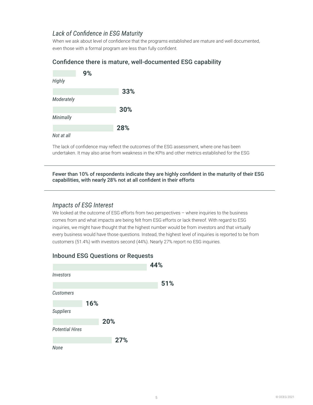# **Lack of Confidence in ESG Maturity**

When we ask about level of confidence that the programs established are mature and well documented, even those with a formal program are less than fully confident.

#### Confidence there is mature, well-documented ESG capability



The lack of confidence may reflect the outcomes of the ESG assessment, where one has been undertaken. It may also arise from weakness in the KPIs and other metrics established for the ESG

Fewer than 10% of respondents indicate they are highly confident in the maturity of their ESG capabilities, with nearly 28% not at all confident in their efforts

#### *Impacts of ESG Interest*

We looked at the outcome of ESG efforts from two perspectives – where inquiries to the business comes from and what impacts are being felt from ESG efforts or lack thereof. With regard to ESG inquiries, we might have thought that the highest number would be from investors and that virtually every business would have those questions. Instead, the highest level of inquiries is reported to be from customers (51.4%) with investors second (44%). Nearly 27% report no ESG inquiries.



#### Inbound ESG Questions or Requests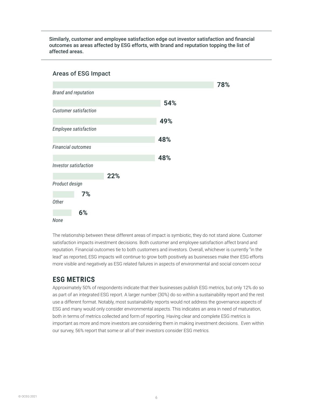Similarly, customer and employee satisfaction edge out investor satisfaction and financial outcomes as areas affected by ESG efforts, with brand and reputation topping the list of affected areas.

#### Areas of ESG Impact



The relationship between these different areas of impact is symbiotic, they do not stand alone. Customer satisfaction impacts investment decisions. Both customer and employee satisfaction affect brand and reputation. Financial outcomes tie to both customers and investors. Overall, whichever is currently "in the lead" as reported, ESG impacts will continue to grow both positively as businesses make their ESG efforts more visible and negatively as ESG related failures in aspects of environmental and social concern occur

# **ESG METRICS**

Approximately 50% of respondents indicate that their businesses publish ESG metrics, but only 12% do so as part of an integrated ESG report. A larger number (30%) do so within a sustainability report and the rest use a different format. Notably, most sustainability reports would not address the governance aspects of ESG and many would only consider environmental aspects. This indicates an area in need of maturation, both in terms of metrics collected and form of reporting. Having clear and complete ESG metrics is important as more and more investors are considering them in making investment decisions. Even within our survey, 56% report that some or all of their investors consider ESG metrics.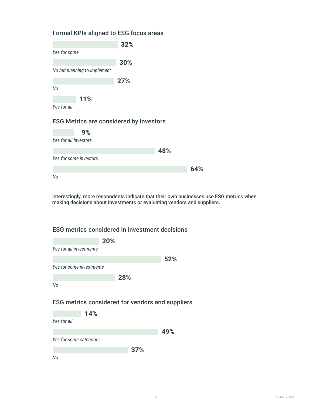# Formal KPIs aligned to ESG focus areas

|                                                | 32% |     |  |  |  |  |
|------------------------------------------------|-----|-----|--|--|--|--|
| Yes for some                                   |     |     |  |  |  |  |
|                                                | 30% |     |  |  |  |  |
| No but planning to implement                   |     |     |  |  |  |  |
|                                                | 27% |     |  |  |  |  |
| No                                             |     |     |  |  |  |  |
| 11%                                            |     |     |  |  |  |  |
| Yes for all                                    |     |     |  |  |  |  |
| <b>ESG Metrics are considered by investors</b> |     |     |  |  |  |  |
| 9%                                             |     |     |  |  |  |  |
| Yes for all investors                          |     |     |  |  |  |  |
|                                                |     | 48% |  |  |  |  |
| Yes for some investors                         |     |     |  |  |  |  |

*No*

Interestingly, more respondents indicate that their own businesses use ESG metrics when making decisions about investments or evaluating vendors and suppliers.

**64%**

# ESG metrics considered in investment decisions

|                                                                        | 20% |     |
|------------------------------------------------------------------------|-----|-----|
| Yes for all investments                                                |     |     |
|                                                                        |     | 52% |
| Yes for some investments                                               |     |     |
|                                                                        | 28% |     |
| No                                                                     |     |     |
|                                                                        |     |     |
| ESG metrics considered for vendors and suppliers<br>14%<br>Yes for all |     |     |
|                                                                        |     |     |
|                                                                        |     | 49% |
| Yes for some categories                                                |     |     |
|                                                                        | 37% |     |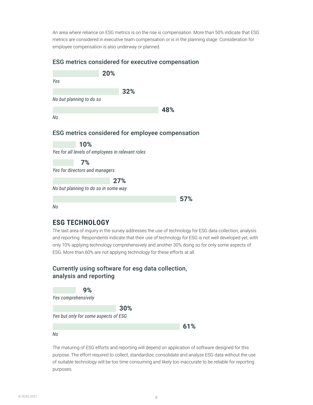An area where reliance on ESG metrics is on the rise is compensation. More than 50% indicate that ESG metrics are considered in executive team compensation or is in the planning stage. Consideration for employee compensation is also underway or planned.

#### ESG metrics considered for executive compensation

|                                                   | 20% |     |     |     |
|---------------------------------------------------|-----|-----|-----|-----|
| Yes                                               |     |     |     |     |
|                                                   |     | 32% |     |     |
| No but planning to do so                          |     |     |     |     |
|                                                   |     |     | 48% |     |
| No                                                |     |     |     |     |
| ESG metrics considered for employee compensation  |     |     |     |     |
| 10%                                               |     |     |     |     |
| Yes for all levels of employees in relevant roles |     |     |     |     |
| 7%                                                |     |     |     |     |
| Yes for directors and managers                    |     |     |     |     |
|                                                   |     | 27% |     |     |
| No but planning to do so in some way              |     |     |     |     |
|                                                   |     |     |     | 57% |
| No                                                |     |     |     |     |

# **ESG TECHNOLOGY**

The last area of inquiry in the survey addresses the use of technology for ESG data collection, analysis and reporting. Respondents indicate that their use of technology for ESG is not well developed yet, with only 10% applying technology comprehensively and another 30% doing so for only some aspects of ESG. More than 60% are not applying technology for these efforts at all.

## Currently using software for esg data collection, analysis and reporting



The maturing of ESG efforts and reporting will depend on application of software designed for this purpose. The effort required to collect, standardize, consolidate and analyze ESG data without the use of suitable technology will be too time consuming and likely too inaccurate to be reliable for reporting purposes.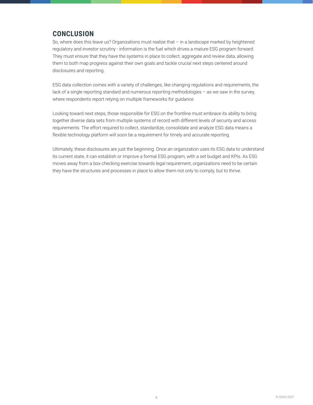# **CONCLUSION**

So, where does this leave us? Organizations must realize that – in a landscape marked by heightened regulatory and investor scrutiny - information is the fuel which drives a mature ESG program forward. They must ensure that they have the systems in place to collect, aggregate and review data, allowing them to both map progress against their own goals and tackle crucial next steps centered around disclosures and reporting.

ESG data collection comes with a variety of challenges, like changing regulations and requirements, the lack of a single reporting standard and numerous reporting methodologies – as we saw in the survey, where respondents report relying on multiple frameworks for guidance.

Looking toward next steps, those responsible for ESG on the frontline must embrace its ability to bring together diverse data sets from multiple systems of record with different levels of security and access requirements. The effort required to collect, standardize, consolidate and analyze ESG data means a flexible technology platform will soon be a requirement for timely and accurate reporting.

Ultimately, these disclosures are just the beginning. Once an organization uses its ESG data to understand its current state, it can establish or improve a formal ESG program, with a set budget and KPIs. As ESG moves away from a box checking exercise towards legal requirement, organizations need to be certain they have the structures and processes in place to allow them not only to comply, but to thrive.